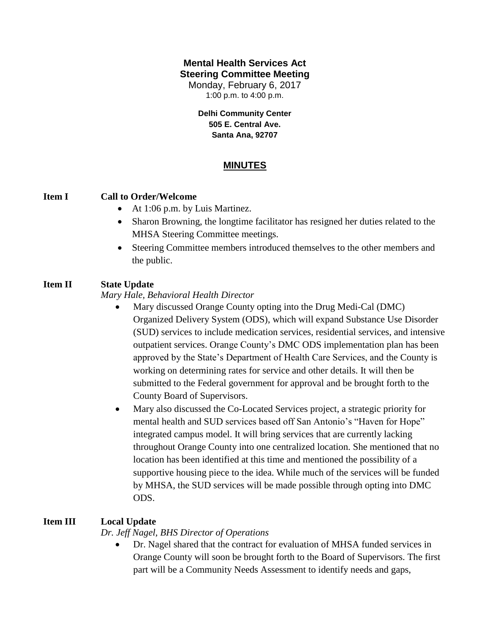# **Mental Health Services Act Steering Committee Meeting**

Monday, February 6, 2017 1:00 p.m. to 4:00 p.m.

**Delhi Community Center 505 E. Central Ave. Santa Ana, 92707**

# **MINUTES**

#### **Item I Call to Order/Welcome**

- At 1:06 p.m. by Luis Martinez.
- Sharon Browning, the longtime facilitator has resigned her duties related to the MHSA Steering Committee meetings.
- Steering Committee members introduced themselves to the other members and the public.

# **Item II State Update**

*Mary Hale, Behavioral Health Director*

- Mary discussed Orange County opting into the Drug Medi-Cal (DMC) Organized Delivery System (ODS), which will expand Substance Use Disorder (SUD) services to include medication services, residential services, and intensive outpatient services. Orange County's DMC ODS implementation plan has been approved by the State's Department of Health Care Services, and the County is working on determining rates for service and other details. It will then be submitted to the Federal government for approval and be brought forth to the County Board of Supervisors.
- Mary also discussed the Co-Located Services project, a strategic priority for mental health and SUD services based off San Antonio's "Haven for Hope" integrated campus model. It will bring services that are currently lacking throughout Orange County into one centralized location. She mentioned that no location has been identified at this time and mentioned the possibility of a supportive housing piece to the idea. While much of the services will be funded by MHSA, the SUD services will be made possible through opting into DMC ODS.

# **Item III Local Update**

*Dr. Jeff Nagel, BHS Director of Operations*

 Dr. Nagel shared that the contract for evaluation of MHSA funded services in Orange County will soon be brought forth to the Board of Supervisors. The first part will be a Community Needs Assessment to identify needs and gaps,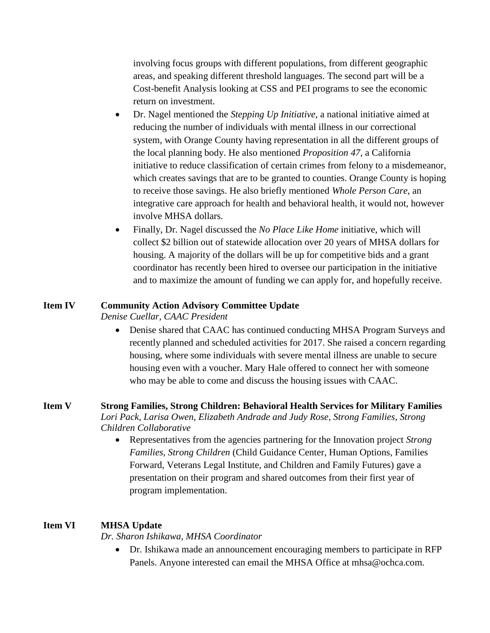involving focus groups with different populations, from different geographic areas, and speaking different threshold languages. The second part will be a Cost-benefit Analysis looking at CSS and PEI programs to see the economic return on investment.

- Dr. Nagel mentioned the *Stepping Up Initiative*, a national initiative aimed at reducing the number of individuals with mental illness in our correctional system, with Orange County having representation in all the different groups of the local planning body. He also mentioned *Proposition 47*, a California initiative to reduce classification of certain crimes from felony to a misdemeanor, which creates savings that are to be granted to counties. Orange County is hoping to receive those savings. He also briefly mentioned *Whole Person Care*, an integrative care approach for health and behavioral health, it would not, however involve MHSA dollars.
- Finally, Dr. Nagel discussed the *No Place Like Home* initiative, which will collect \$2 billion out of statewide allocation over 20 years of MHSA dollars for housing. A majority of the dollars will be up for competitive bids and a grant coordinator has recently been hired to oversee our participation in the initiative and to maximize the amount of funding we can apply for, and hopefully receive.

#### **Item IV Community Action Advisory Committee Update**

*Denise Cuellar, CAAC President*

 Denise shared that CAAC has continued conducting MHSA Program Surveys and recently planned and scheduled activities for 2017. She raised a concern regarding housing, where some individuals with severe mental illness are unable to secure housing even with a voucher. Mary Hale offered to connect her with someone who may be able to come and discuss the housing issues with CAAC.

#### **Item V Strong Families, Strong Children: Behavioral Health Services for Military Families** *Lori Pack, Larisa Owen, Elizabeth Andrade and Judy Rose, Strong Families, Strong Children Collaborative*

 Representatives from the agencies partnering for the Innovation project *Strong Families, Strong Children* (Child Guidance Center, Human Options, Families Forward, Veterans Legal Institute, and Children and Family Futures) gave a presentation on their program and shared outcomes from their first year of program implementation.

#### **Item VI MHSA Update**

*Dr. Sharon Ishikawa, MHSA Coordinator*

 Dr. Ishikawa made an announcement encouraging members to participate in RFP Panels. Anyone interested can email the MHSA Office at mhsa@ochca.com.